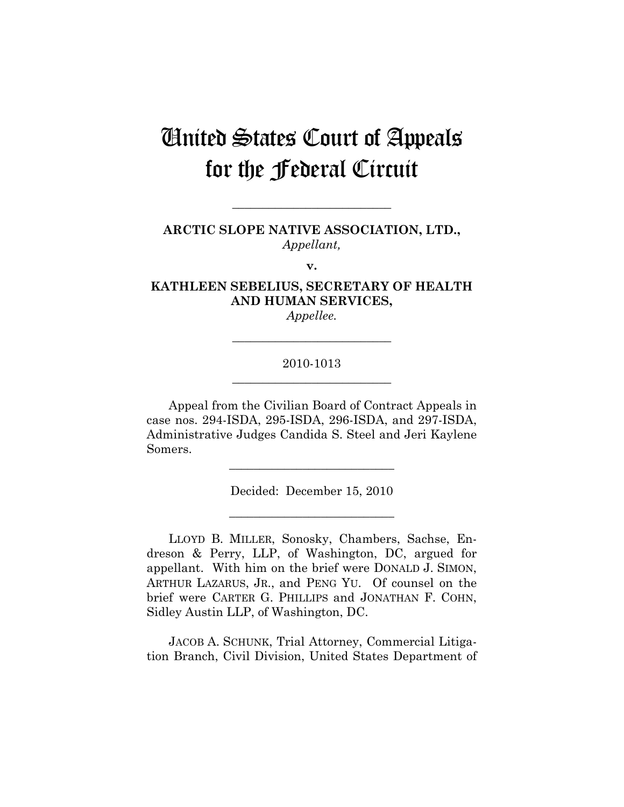# United States Court of Appeals for the Federal Circuit

**ARCTIC SLOPE NATIVE ASSOCIATION, LTD.,**  *Appellant,* 

**\_\_\_\_\_\_\_\_\_\_\_\_\_\_\_\_\_\_\_\_\_\_\_\_\_\_** 

**v.** 

**KATHLEEN SEBELIUS, SECRETARY OF HEALTH AND HUMAN SERVICES,** 

*Appellee.*  **\_\_\_\_\_\_\_\_\_\_\_\_\_\_\_\_\_\_\_\_\_\_\_\_\_\_** 

## 2010-1013 **\_\_\_\_\_\_\_\_\_\_\_\_\_\_\_\_\_\_\_\_\_\_\_\_\_\_**

Appeal from the Civilian Board of Contract Appeals in case nos. 294-ISDA, 295-ISDA, 296-ISDA, and 297-ISDA, Administrative Judges Candida S. Steel and Jeri Kaylene Somers.

Decided: December 15, 2010

**\_\_\_\_\_\_\_\_\_\_\_\_\_\_\_\_\_\_\_\_\_\_\_\_\_\_\_** 

**\_\_\_\_\_\_\_\_\_\_\_\_\_\_\_\_\_\_\_\_\_\_\_\_\_\_\_** 

LLOYD B. MILLER, Sonosky, Chambers, Sachse, Endreson & Perry, LLP, of Washington, DC, argued for appellant. With him on the brief were DONALD J. SIMON, ARTHUR LAZARUS, JR., and PENG YU. Of counsel on the brief were CARTER G. PHILLIPS and JONATHAN F. COHN, Sidley Austin LLP, of Washington, DC.

JACOB A. SCHUNK, Trial Attorney, Commercial Litigation Branch, Civil Division, United States Department of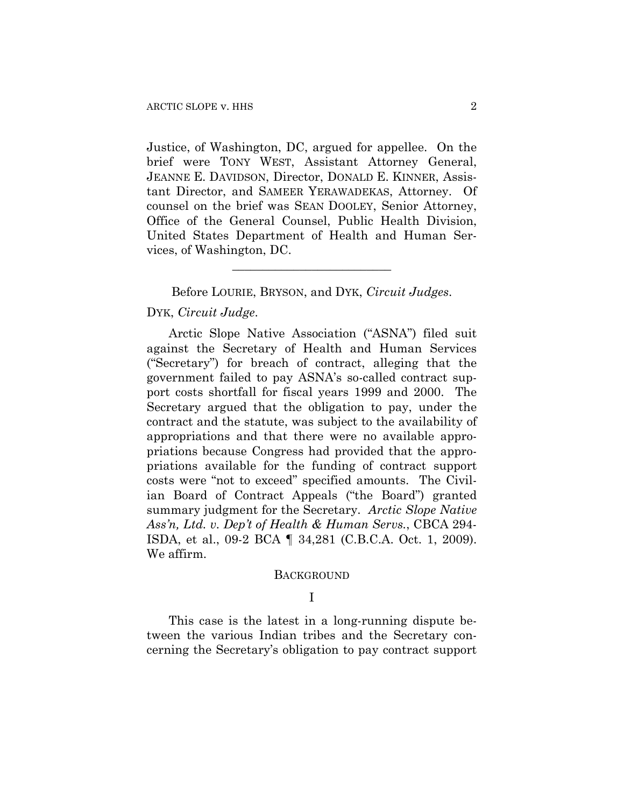Justice, of Washington, DC, argued for appellee. On the brief were TONY WEST, Assistant Attorney General, JEANNE E. DAVIDSON, Director, DONALD E. KINNER, Assistant Director, and SAMEER YERAWADEKAS, Attorney. Of counsel on the brief was SEAN DOOLEY, Senior Attorney, Office of the General Counsel, Public Health Division, United States Department of Health and Human Services, of Washington, DC.

Before LOURIE, BRYSON, and DYK, *Circuit Judges*.

**\_\_\_\_\_\_\_\_\_\_\_\_\_\_\_\_\_\_\_\_\_\_\_\_\_\_** 

## DYK, *Circuit Judge*.

Arctic Slope Native Association ("ASNA") filed suit against the Secretary of Health and Human Services ("Secretary") for breach of contract, alleging that the government failed to pay ASNA's so-called contract support costs shortfall for fiscal years 1999 and 2000. The Secretary argued that the obligation to pay, under the contract and the statute, was subject to the availability of appropriations and that there were no available appropriations because Congress had provided that the appropriations available for the funding of contract support costs were "not to exceed" specified amounts.The Civilian Board of Contract Appeals ("the Board") granted summary judgment for the Secretary. *Arctic Slope Native Ass'n, Ltd. v. Dep't of Health & Human Servs.*, CBCA 294- ISDA, et al., 09-2 BCA ¶ 34,281 (C.B.C.A. Oct. 1, 2009). We affirm.

#### **BACKGROUND**

## I

This case is the latest in a long-running dispute between the various Indian tribes and the Secretary concerning the Secretary's obligation to pay contract support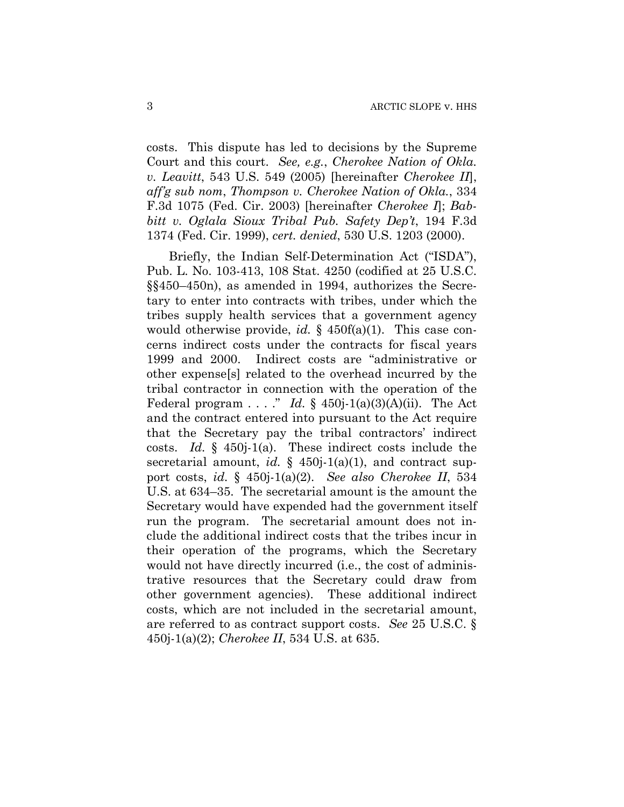costs. This dispute has led to decisions by the Supreme Court and this court. *See, e.g.*, *Cherokee Nation of Okla. v. Leavitt*, 543 U.S. 549 (2005) [hereinafter *Cherokee II*], *aff'g sub nom*, *Thompson v. Cherokee Nation of Okla.*, 334 F.3d 1075 (Fed. Cir. 2003) [hereinafter *Cherokee I*]; *Babbitt v. Oglala Sioux Tribal Pub. Safety Dep't*, 194 F.3d 1374 (Fed. Cir. 1999), *cert. denied*, 530 U.S. 1203 (2000).

Briefly, the Indian Self-Determination Act ("ISDA"), Pub. L. No. 103-413, 108 Stat. 4250 (codified at 25 U.S.C. §§450–450n), as amended in 1994, authorizes the Secretary to enter into contracts with tribes, under which the tribes supply health services that a government agency would otherwise provide, *id.* § 450f(a)(1). This case concerns indirect costs under the contracts for fiscal years 1999 and 2000. Indirect costs are "administrative or other expense[s] related to the overhead incurred by the tribal contractor in connection with the operation of the Federal program . . . ." *Id.*  $\S$  450j-1(a)(3)(A)(ii). The Act and the contract entered into pursuant to the Act require that the Secretary pay the tribal contractors' indirect costs. *Id.* § 450j-1(a). These indirect costs include the secretarial amount, *id.* § 450*j*-1(a)(1), and contract support costs, *id.* § 450j-1(a)(2). *See also Cherokee II*, 534 U.S. at 634–35. The secretarial amount is the amount the Secretary would have expended had the government itself run the program. The secretarial amount does not include the additional indirect costs that the tribes incur in their operation of the programs, which the Secretary would not have directly incurred (i.e., the cost of administrative resources that the Secretary could draw from other government agencies). These additional indirect costs, which are not included in the secretarial amount, are referred to as contract support costs. *See* 25 U.S.C. § 450j-1(a)(2); *Cherokee II*, 534 U.S. at 635.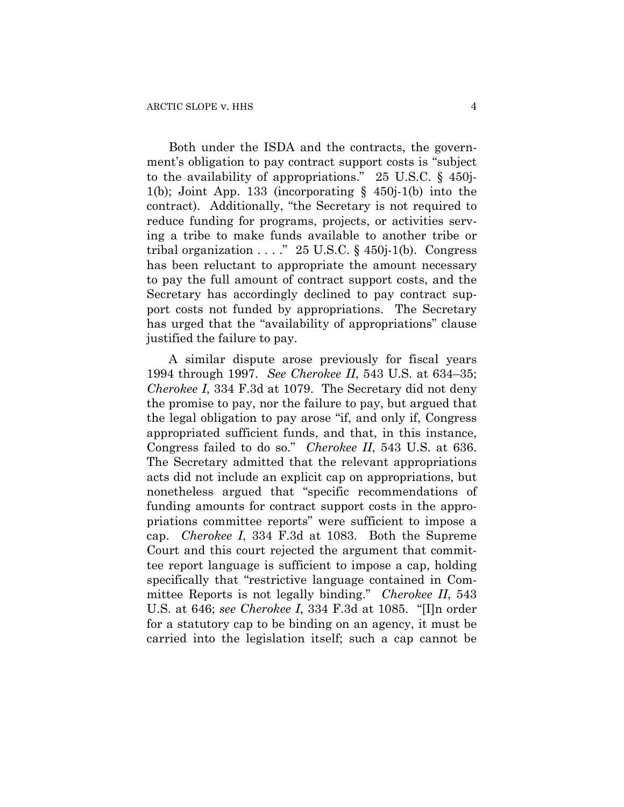Both under the ISDA and the contracts, the government's obligation to pay contract support costs is "subject to the availability of appropriations." 25 U.S.C. § 450j-1(b); Joint App. 133 (incorporating  $\S$  450j-1(b) into the contract). Additionally, "the Secretary is not required to reduce funding for programs, projects, or activities serving a tribe to make funds available to another tribe or tribal organization  $\ldots$ ." 25 U.S.C. § 450j-1(b). Congress has been reluctant to appropriate the amount necessary to pay the full amount of contract support costs, and the Secretary has accordingly declined to pay contract support costs not funded by appropriations. The Secretary has urged that the "availability of appropriations" clause justified the failure to pay.

A similar dispute arose previously for fiscal years 1994 through 1997. *See Cherokee II*, 543 U.S. at 634–35; *Cherokee I*, 334 F.3d at 1079. The Secretary did not deny the promise to pay, nor the failure to pay, but argued that the legal obligation to pay arose "if, and only if, Congress appropriated sufficient funds, and that, in this instance, Congress failed to do so." *Cherokee II*, 543 U.S. at 636. The Secretary admitted that the relevant appropriations acts did not include an explicit cap on appropriations, but nonetheless argued that "specific recommendations of funding amounts for contract support costs in the appropriations committee reports" were sufficient to impose a cap. *Cherokee I*, 334 F.3d at 1083. Both the Supreme Court and this court rejected the argument that committee report language is sufficient to impose a cap, holding specifically that "restrictive language contained in Committee Reports is not legally binding." *Cherokee II*, 543 U.S. at 646; *see Cherokee I*, 334 F.3d at 1085. "[I]n order for a statutory cap to be binding on an agency, it must be carried into the legislation itself; such a cap cannot be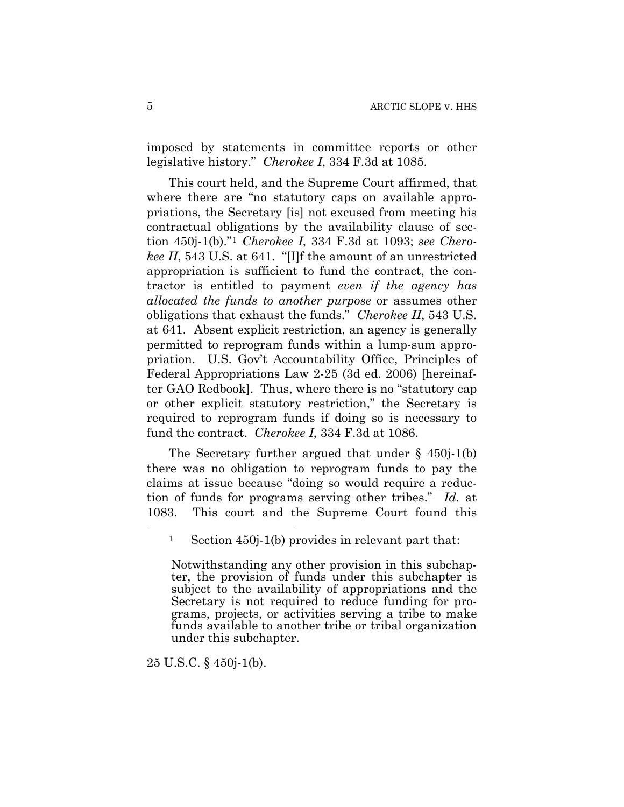imposed by statements in committee reports or other legislative history." *Cherokee I*, 334 F.3d at 1085.

This court held, and the Supreme Court affirmed, that where there are "no statutory caps on available appropriations, the Secretary [is] not excused from meeting his contractual obligations by the availability clause of section 450j-1(b)."[1](#page-4-0) *Cherokee I*, 334 F.3d at 1093; *see Cherokee II*, 543 U.S. at 641. "[I]f the amount of an unrestricted appropriation is sufficient to fund the contract, the contractor is entitled to payment *even if the agency has allocated the funds to another purpose* or assumes other obligations that exhaust the funds." *Cherokee II*, 543 U.S. at 641. Absent explicit restriction, an agency is generally permitted to reprogram funds within a lump-sum appropriation. U.S. Gov't Accountability Office, Principles of Federal Appropriations Law 2-25 (3d ed. 2006) [hereinafter GAO Redbook]. Thus, where there is no "statutory cap or other explicit statutory restriction," the Secretary is required to reprogram funds if doing so is necessary to fund the contract. *Cherokee I*, 334 F.3d at 1086.

The Secretary further argued that under  $\S$  450j-1(b) there was no obligation to reprogram funds to pay the claims at issue because "doing so would require a reduction of funds for programs serving other tribes." *Id.* at 1083. This court and the Supreme Court found this

25 U.S.C. § 450j-1(b).

<span id="page-4-0"></span><sup>1</sup> Section 450j-1(b) provides in relevant part that:

Notwithstanding any other provision in this subchapter, the provision of funds under this subchapter is subject to the availability of appropriations and the Secretary is not required to reduce funding for programs, projects, or activities serving a tribe to make funds available to another tribe or tribal organization under this subchapter.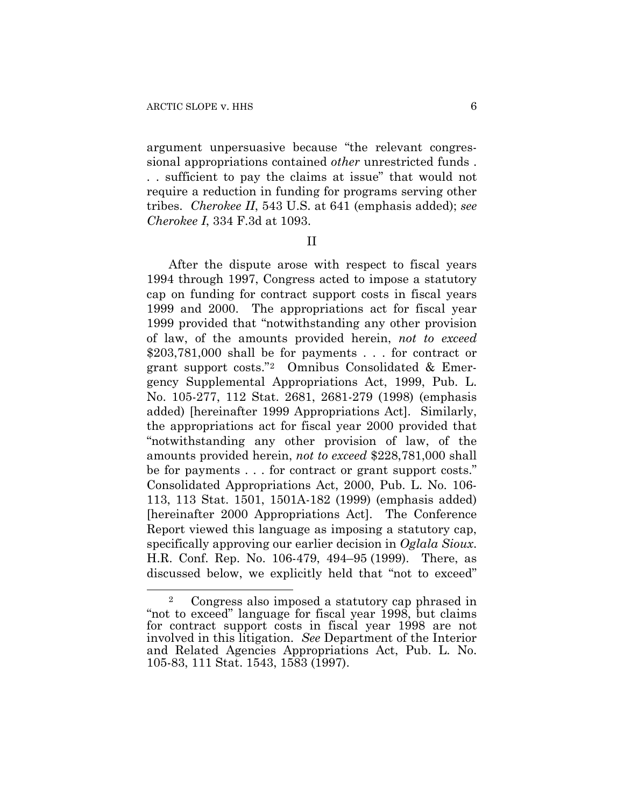argument unpersuasive because "the relevant congressional appropriations contained *other* unrestricted funds . . . sufficient to pay the claims at issue" that would not require a reduction in funding for programs serving other tribes. *Cherokee II*, 543 U.S. at 641 (emphasis added); *see Cherokee I*, 334 F.3d at 1093.

II

After the dispute arose with respect to fiscal years 1994 through 1997, Congress acted to impose a statutory cap on funding for contract support costs in fiscal years 1999 and 2000. The appropriations act for fiscal year 1999 provided that "notwithstanding any other provision of law, of the amounts provided herein, *not to exceed* \$203,781,000 shall be for payments . . . for contract or grant support costs."[2](#page-5-0) Omnibus Consolidated & Emergency Supplemental Appropriations Act, 1999, Pub. L. No. 105-277, 112 Stat. 2681, 2681-279 (1998) (emphasis added) [hereinafter 1999 Appropriations Act]. Similarly, the appropriations act for fiscal year 2000 provided that "notwithstanding any other provision of law, of the amounts provided herein, *not to exceed* \$228,781,000 shall be for payments . . . for contract or grant support costs." Consolidated Appropriations Act, 2000, Pub. L. No. 106- 113, 113 Stat. 1501, 1501A-182 (1999) (emphasis added) [hereinafter 2000 Appropriations Act]. The Conference Report viewed this language as imposing a statutory cap, specifically approving our earlier decision in *Oglala Sioux*. H.R. Conf. Rep. No. 106-479, 494–95 (1999). There, as discussed below, we explicitly held that "not to exceed"

<span id="page-5-0"></span><sup>2</sup> Congress also imposed a statutory cap phrased in "not to exceed" language for fiscal year 1998, but claims for contract support costs in fiscal year 1998 are not involved in this litigation. *See* Department of the Interior and Related Agencies Appropriations Act, Pub. L. No. 105-83, 111 Stat. 1543, 1583 (1997).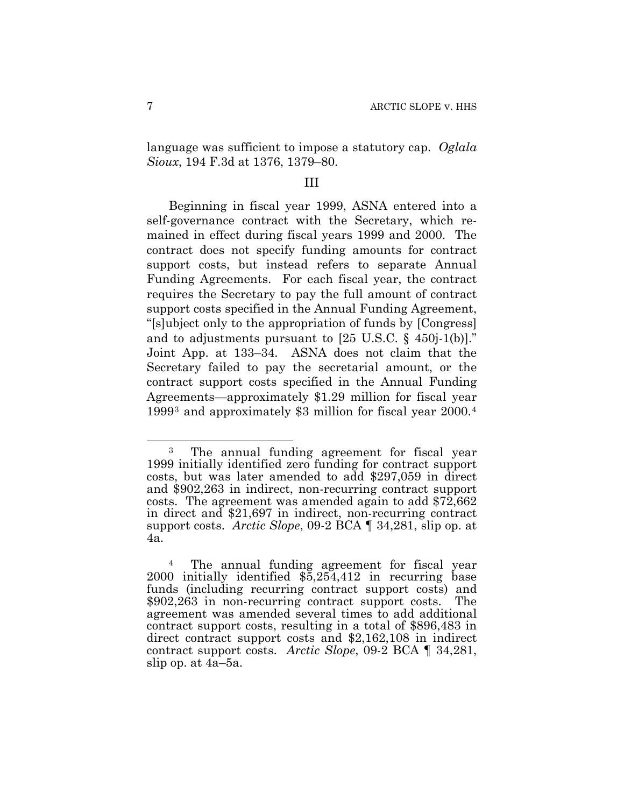language was sufficient to impose a statutory cap. *Oglala Sioux*, 194 F.3d at 1376, 1379–80.

#### III

Beginning in fiscal year 1999, ASNA entered into a self-governance contract with the Secretary, which remained in effect during fiscal years 1999 and 2000. The contract does not specify funding amounts for contract support costs, but instead refers to separate Annual Funding Agreements.For each fiscal year, the contract requires the Secretary to pay the full amount of contract support costs specified in the Annual Funding Agreement, "[s]ubject only to the appropriation of funds by [Congress] and to adjustments pursuant to [25 U.S.C. § 450j-1(b)]." Joint App. at 133–34. ASNA does not claim that the Secretary failed to pay the secretarial amount, or the contract support costs specified in the Annual Funding Agreements—approximately \$1.29 million for fiscal year 1999[3](#page-6-0) and approximately \$3 million for fiscal year 2000.[4](#page-6-1)

<span id="page-6-0"></span><sup>3</sup> The annual funding agreement for fiscal year 1999 initially identified zero funding for contract support costs, but was later amended to add \$297,059 in direct and \$902,263 in indirect, non-recurring contract support costs. The agreement was amended again to add \$72,662 in direct and \$21,697 in indirect, non-recurring contract support costs. *Arctic Slope*, 09-2 BCA ¶ 34,281, slip op. at 4a.

<span id="page-6-1"></span>The annual funding agreement for fiscal year 2000 initially identified \$5,254,412 in recurring base funds (including recurring contract support costs) and \$902,263 in non-recurring contract support costs. The agreement was amended several times to add additional contract support costs, resulting in a total of \$896,483 in direct contract support costs and \$2,162,108 in indirect contract support costs. *Arctic Slope*, 09-2 BCA ¶ 34,281, slip op. at 4a–5a.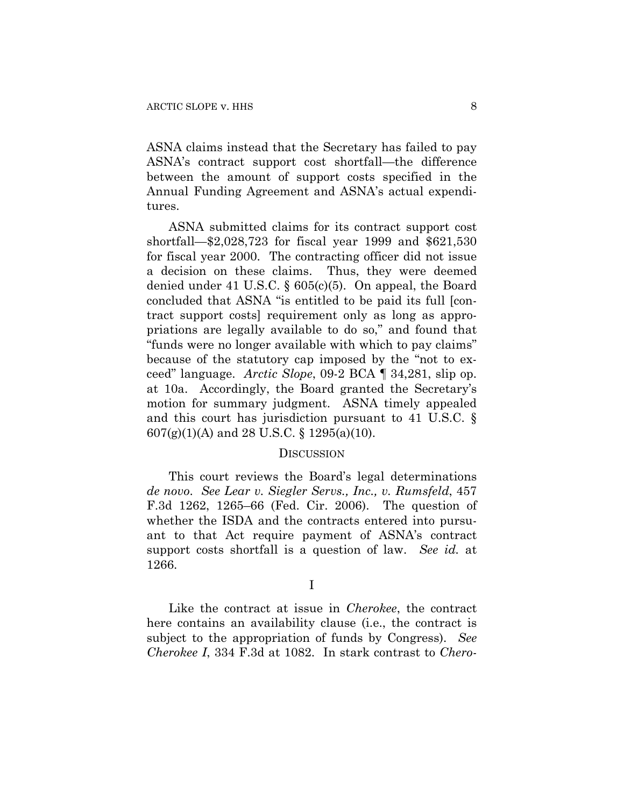ASNA claims instead that the Secretary has failed to pay ASNA's contract support cost shortfall—the difference between the amount of support costs specified in the Annual Funding Agreement and ASNA's actual expenditures.

ASNA submitted claims for its contract support cost shortfall—\$2,028,723 for fiscal year 1999 and \$621,530 for fiscal year 2000.The contracting officer did not issue a decision on these claims. Thus, they were deemed denied under 41 U.S.C. § 605(c)(5). On appeal, the Board concluded that ASNA "is entitled to be paid its full [contract support costs] requirement only as long as appropriations are legally available to do so," and found that "funds were no longer available with which to pay claims" because of the statutory cap imposed by the "not to exceed" language. *Arctic Slope*, 09-2 BCA ¶ 34,281, slip op. at 10a. Accordingly, the Board granted the Secretary's motion for summary judgment.ASNA timely appealed and this court has jurisdiction pursuant to 41 U.S.C. § 607(g)(1)(A) and 28 U.S.C. § 1295(a)(10).

#### **DISCUSSION**

This court reviews the Board's legal determinations *de novo*. *See Lear v. Siegler Servs., Inc., v. Rumsfeld*, 457 F.3d 1262, 1265–66 (Fed. Cir. 2006). The question of whether the ISDA and the contracts entered into pursuant to that Act require payment of ASNA's contract support costs shortfall is a question of law. *See id.* at 1266.

I

Like the contract at issue in *Cherokee*, the contract here contains an availability clause (i.e., the contract is subject to the appropriation of funds by Congress). *See Cherokee I*, 334 F.3d at 1082. In stark contrast to *Chero-*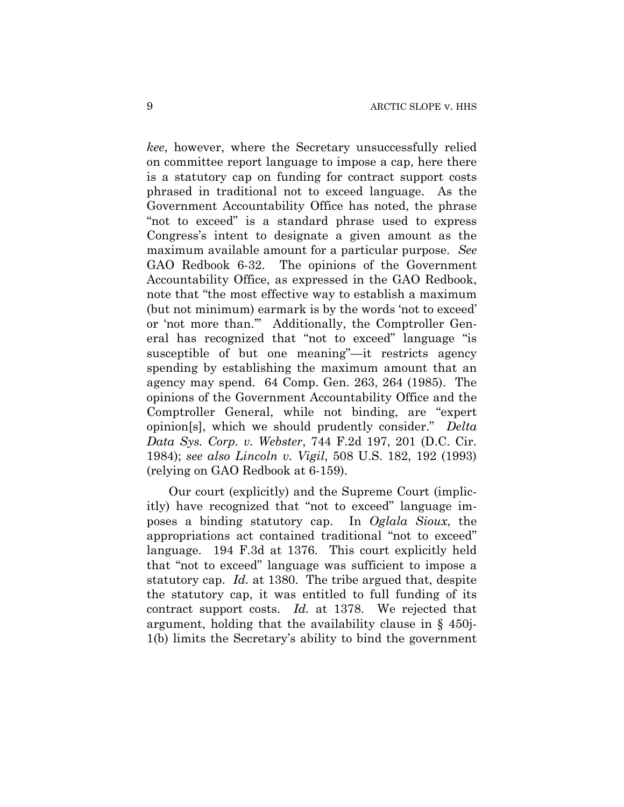*kee*, however, where the Secretary unsuccessfully relied on committee report language to impose a cap, here there is a statutory cap on funding for contract support costs phrased in traditional not to exceed language. As the Government Accountability Office has noted, the phrase "not to exceed" is a standard phrase used to express Congress's intent to designate a given amount as the maximum available amount for a particular purpose. *See* GAO Redbook 6-32. The opinions of the Government Accountability Office, as expressed in the GAO Redbook, note that "the most effective way to establish a maximum (but not minimum) earmark is by the words 'not to exceed' or 'not more than.'" Additionally, the Comptroller General has recognized that "not to exceed" language "is susceptible of but one meaning"—it restricts agency spending by establishing the maximum amount that an agency may spend. 64 Comp. Gen. 263, 264 (1985). The opinions of the Government Accountability Office and the Comptroller General, while not binding, are "expert opinion[s], which we should prudently consider." *Delta Data Sys. Corp. v. Webster*, 744 F.2d 197, 201 (D.C. Cir. 1984); *see also Lincoln v. Vigil*, 508 U.S. 182, 192 (1993) (relying on GAO Redbook at 6-159).

Our court (explicitly) and the Supreme Court (implicitly) have recognized that "not to exceed" language imposes a binding statutory cap. In *Oglala Sioux*, the appropriations act contained traditional "not to exceed" language. 194 F.3d at 1376. This court explicitly held that "not to exceed" language was sufficient to impose a statutory cap. *Id.* at 1380. The tribe argued that, despite the statutory cap, it was entitled to full funding of its contract support costs. *Id.* at 1378. We rejected that argument, holding that the availability clause in § 450j-1(b) limits the Secretary's ability to bind the government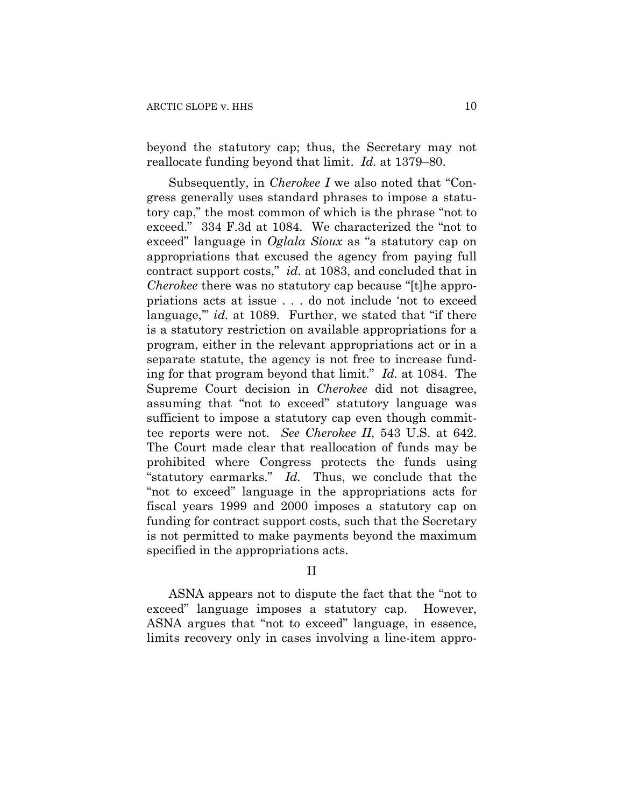beyond the statutory cap; thus, the Secretary may not reallocate funding beyond that limit. *Id.* at 1379–80.

Subsequently, in *Cherokee I* we also noted that "Congress generally uses standard phrases to impose a statutory cap," the most common of which is the phrase "not to exceed." 334 F.3d at 1084. We characterized the "not to exceed" language in *Oglala Sioux* as "a statutory cap on appropriations that excused the agency from paying full contract support costs," *id.* at 1083, and concluded that in *Cherokee* there was no statutory cap because "[t]he appropriations acts at issue . . . do not include 'not to exceed language," *id.* at 1089. Further, we stated that "if there is a statutory restriction on available appropriations for a program, either in the relevant appropriations act or in a separate statute, the agency is not free to increase funding for that program beyond that limit." *Id.* at 1084. The Supreme Court decision in *Cherokee* did not disagree, assuming that "not to exceed" statutory language was sufficient to impose a statutory cap even though committee reports were not. *See Cherokee II*, 543 U.S. at 642. The Court made clear that reallocation of funds may be prohibited where Congress protects the funds using "statutory earmarks." *Id.* Thus, we conclude that the "not to exceed" language in the appropriations acts for fiscal years 1999 and 2000 imposes a statutory cap on funding for contract support costs, such that the Secretary is not permitted to make payments beyond the maximum specified in the appropriations acts.

## II

ASNA appears not to dispute the fact that the "not to exceed" language imposes a statutory cap. However, ASNA argues that "not to exceed" language, in essence, limits recovery only in cases involving a line-item appro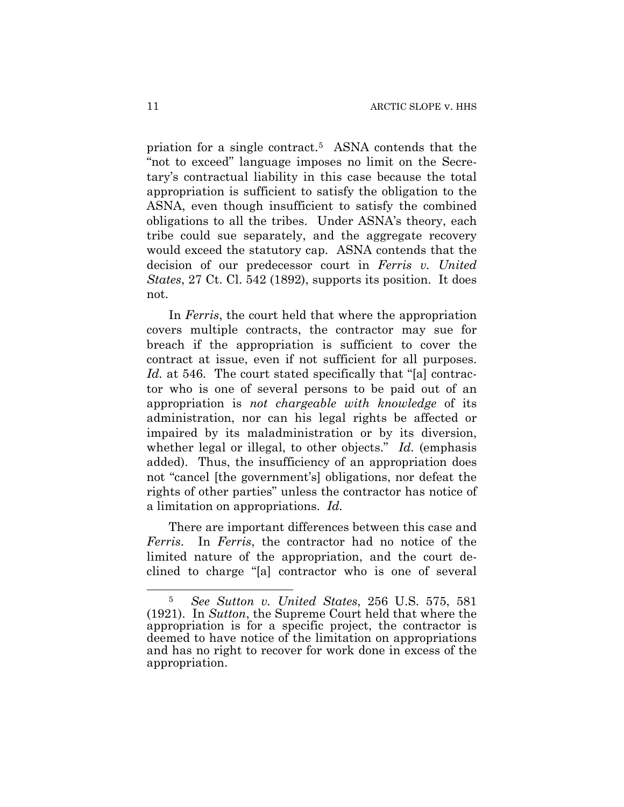priation for a single contract.[5](#page-10-0) ASNA contends that the "not to exceed" language imposes no limit on the Secretary's contractual liability in this case because the total appropriation is sufficient to satisfy the obligation to the ASNA, even though insufficient to satisfy the combined obligations to all the tribes. Under ASNA's theory, each tribe could sue separately, and the aggregate recovery would exceed the statutory cap. ASNA contends that the decision of our predecessor court in *Ferris v. United States*, 27 Ct. Cl. 542 (1892), supports its position. It does not.

In *Ferris*, the court held that where the appropriation covers multiple contracts, the contractor may sue for breach if the appropriation is sufficient to cover the contract at issue, even if not sufficient for all purposes. *Id.* at 546. The court stated specifically that "[a] contractor who is one of several persons to be paid out of an appropriation is *not chargeable with knowledge* of its administration, nor can his legal rights be affected or impaired by its maladministration or by its diversion, whether legal or illegal, to other objects." *Id.* (emphasis added). Thus, the insufficiency of an appropriation does not "cancel [the government's] obligations, nor defeat the rights of other parties" unless the contractor has notice of a limitation on appropriations. *Id.*

There are important differences between this case and *Ferris*. In *Ferris*, the contractor had no notice of the limited nature of the appropriation, and the court declined to charge "[a] contractor who is one of several

<span id="page-10-0"></span><sup>5</sup> *See Sutton v. United States*, 256 U.S. 575, 581 (1921). In *Sutton*, the Supreme Court held that where the appropriation is for a specific project, the contractor is deemed to have notice of the limitation on appropriations and has no right to recover for work done in excess of the appropriation.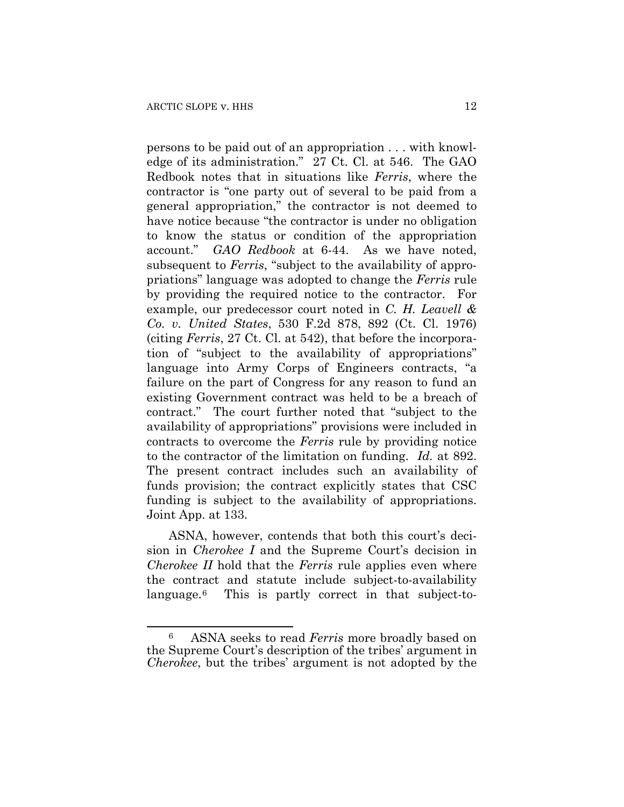1

persons to be paid out of an appropriation . . . with knowledge of its administration." 27 Ct. Cl. at 546. The GAO Redbook notes that in situations like *Ferris*, where the contractor is "one party out of several to be paid from a general appropriation," the contractor is not deemed to have notice because "the contractor is under no obligation to know the status or condition of the appropriation account." *GAO Redbook* at 6-44. As we have noted, subsequent to *Ferris*, "subject to the availability of appropriations" language was adopted to change the *Ferris* rule by providing the required notice to the contractor. For example, our predecessor court noted in *C. H. Leavell & Co. v. United States*, 530 F.2d 878, 892 (Ct. Cl. 1976) (citing *Ferris*, 27 Ct. Cl. at 542), that before the incorporation of "subject to the availability of appropriations" language into Army Corps of Engineers contracts, "a failure on the part of Congress for any reason to fund an existing Government contract was held to be a breach of contract." The court further noted that "subject to the availability of appropriations" provisions were included in contracts to overcome the *Ferris* rule by providing notice to the contractor of the limitation on funding. *Id.* at 892. The present contract includes such an availability of funds provision; the contract explicitly states that CSC funding is subject to the availability of appropriations. Joint App. at 133.

ASNA, however, contends that both this court's decision in *Cherokee I* and the Supreme Court's decision in *Cherokee II* hold that the *Ferris* rule applies even where the contract and statute include subject-to-availability language.[6](#page-11-0) This is partly correct in that subject-to-

<span id="page-11-0"></span><sup>6</sup> ASNA seeks to read *Ferris* more broadly based on the Supreme Court's description of the tribes' argument in *Cherokee*, but the tribes' argument is not adopted by the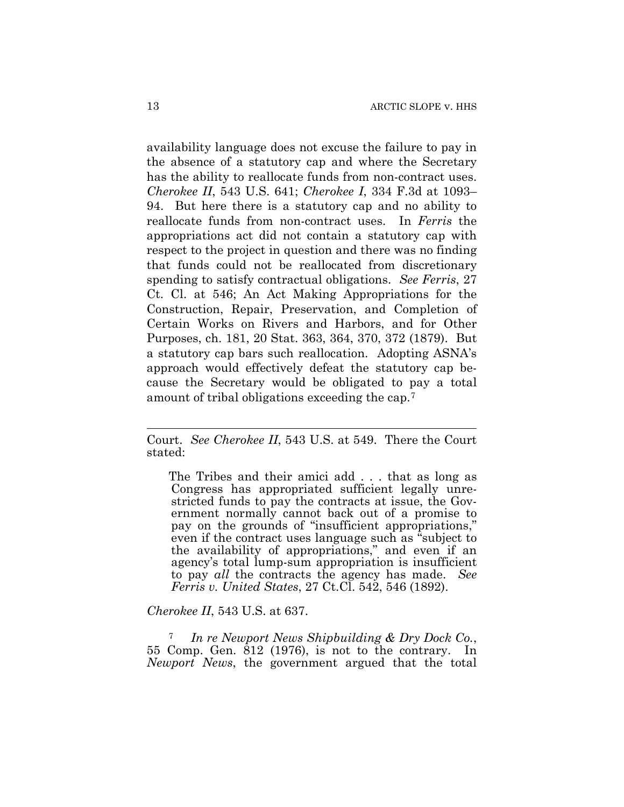availability language does not excuse the failure to pay in the absence of a statutory cap and where the Secretary has the ability to reallocate funds from non-contract uses. *Cherokee II*, 543 U.S. 641; *Cherokee I*, 334 F.3d at 1093– 94. But here there is a statutory cap and no ability to reallocate funds from non-contract uses. In *Ferris* the appropriations act did not contain a statutory cap with respect to the project in question and there was no finding that funds could not be reallocated from discretionary spending to satisfy contractual obligations. *See Ferris*, 27 Ct. Cl. at 546; An Act Making Appropriations for the Construction, Repair, Preservation, and Completion of Certain Works on Rivers and Harbors, and for Other Purposes, ch. 181, 20 Stat. 363, 364, 370, 372 (1879). But a statutory cap bars such reallocation. Adopting ASNA's approach would effectively defeat the statutory cap because the Secretary would be obligated to pay a total amount of tribal obligations exceeding the cap.[7](#page-12-0)

The Tribes and their amici add . . . that as long as Congress has appropriated sufficient legally unrestricted funds to pay the contracts at issue, the Government normally cannot back out of a promise to pay on the grounds of "insufficient appropriations," even if the contract uses language such as "subject to the availability of appropriations," and even if an agency's total lump-sum appropriation is insufficient to pay *all* the contracts the agency has made. *See Ferris v. United States*, 27 Ct.Cl. 542, 546 (1892).

#### *Cherokee II*, 543 U.S. at 637.

<span id="page-12-0"></span><sup>7</sup>*In re Newport News Shipbuilding & Dry Dock Co.*, 55 Comp. Gen. 812 (1976), is not to the contrary. In *Newport News*, the government argued that the total

Court. *See Cherokee II*, 543 U.S. at 549. There the Court stated: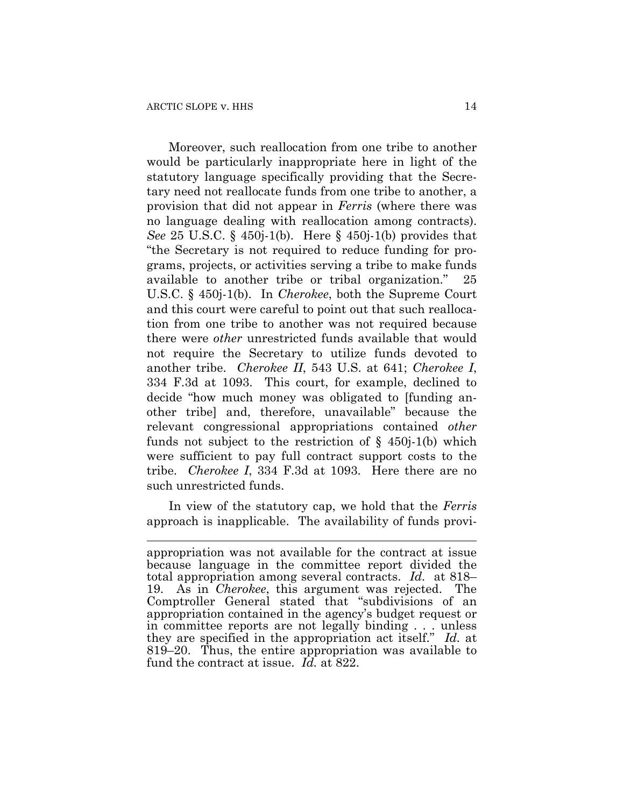Moreover, such reallocation from one tribe to another would be particularly inappropriate here in light of the statutory language specifically providing that the Secretary need not reallocate funds from one tribe to another, a provision that did not appear in *Ferris* (where there was no language dealing with reallocation among contracts). *See* 25 U.S.C. § 450j-1(b). Here § 450j-1(b) provides that "the Secretary is not required to reduce funding for programs, projects, or activities serving a tribe to make funds available to another tribe or tribal organization." 25 U.S.C. § 450j-1(b). In *Cherokee*, both the Supreme Court and this court were careful to point out that such reallocation from one tribe to another was not required because there were *other* unrestricted funds available that would not require the Secretary to utilize funds devoted to another tribe. *Cherokee II*, 543 U.S. at 641; *Cherokee I*, 334 F.3d at 1093. This court, for example, declined to decide "how much money was obligated to [funding another tribe] and, therefore, unavailable" because the relevant congressional appropriations contained *other* funds not subject to the restriction of  $\S$  450j-1(b) which were sufficient to pay full contract support costs to the tribe. *Cherokee I*, 334 F.3d at 1093. Here there are no such unrestricted funds.

In view of the statutory cap, we hold that the *Ferris* approach is inapplicable. The availability of funds provi-

appropriation was not available for the contract at issue because language in the committee report divided the total appropriation among several contracts. *Id.* at 818– 19. As in *Cherokee*, this argument was rejected. The Comptroller General stated that "subdivisions of an appropriation contained in the agency's budget request or in committee reports are not legally binding . . . unless they are specified in the appropriation act itself." *Id.* at 819–20. Thus, the entire appropriation was available to fund the contract at issue. *Id.* at 822.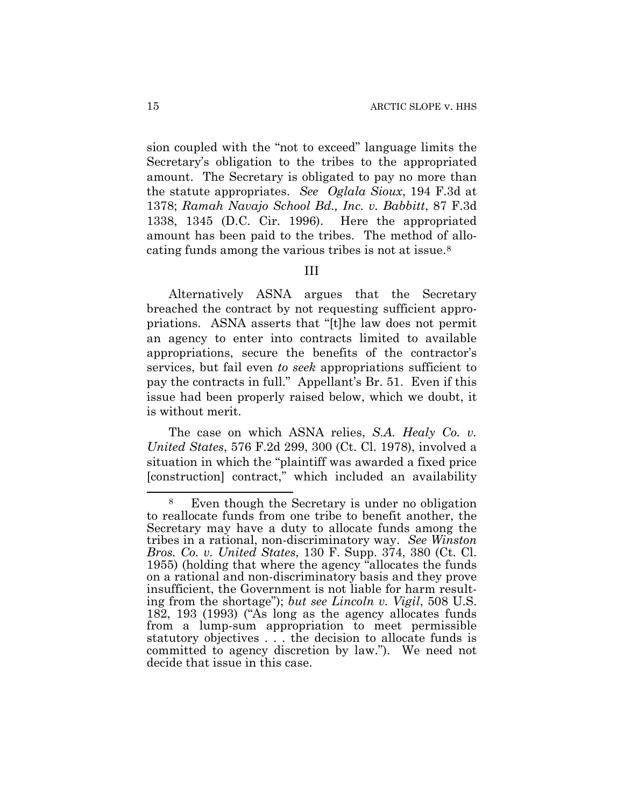sion coupled with the "not to exceed" language limits the Secretary's obligation to the tribes to the appropriated amount. The Secretary is obligated to pay no more than the statute appropriates. *See Oglala Sioux*, 194 F.3d at 1378; *Ramah Navajo School Bd., Inc. v. Babbitt*, 87 F.3d 1338, 1345 (D.C. Cir. 1996). Here the appropriated amount has been paid to the tribes. The method of allocating funds among the various tribes is not at issue.[8](#page-14-0)

### III

Alternatively ASNA argues that the Secretary breached the contract by not requesting sufficient appropriations. ASNA asserts that "[t]he law does not permit an agency to enter into contracts limited to available appropriations, secure the benefits of the contractor's services, but fail even *to seek* appropriations sufficient to pay the contracts in full." Appellant's Br. 51. Even if this issue had been properly raised below, which we doubt, it is without merit.

The case on which ASNA relies, *S.A. Healy Co. v. United States*, 576 F.2d 299, 300 (Ct. Cl. 1978), involved a situation in which the "plaintiff was awarded a fixed price [construction] contract," which included an availability

<span id="page-14-0"></span><sup>8</sup> Even though the Secretary is under no obligation to reallocate funds from one tribe to benefit another, the Secretary may have a duty to allocate funds among the tribes in a rational, non-discriminatory way. *See Winston Bros. Co. v. United States*, 130 F. Supp. 374, 380 (Ct. Cl. 1955) (holding that where the agency "allocates the funds on a rational and non-discriminatory basis and they prove insufficient, the Government is not liable for harm resulting from the shortage"); *but see Lincoln v. Vigil*, 508 U.S. 182, 193 (1993) ("As long as the agency allocates funds from a lump-sum appropriation to meet permissible statutory objectives . . . the decision to allocate funds is committed to agency discretion by law."). We need not decide that issue in this case.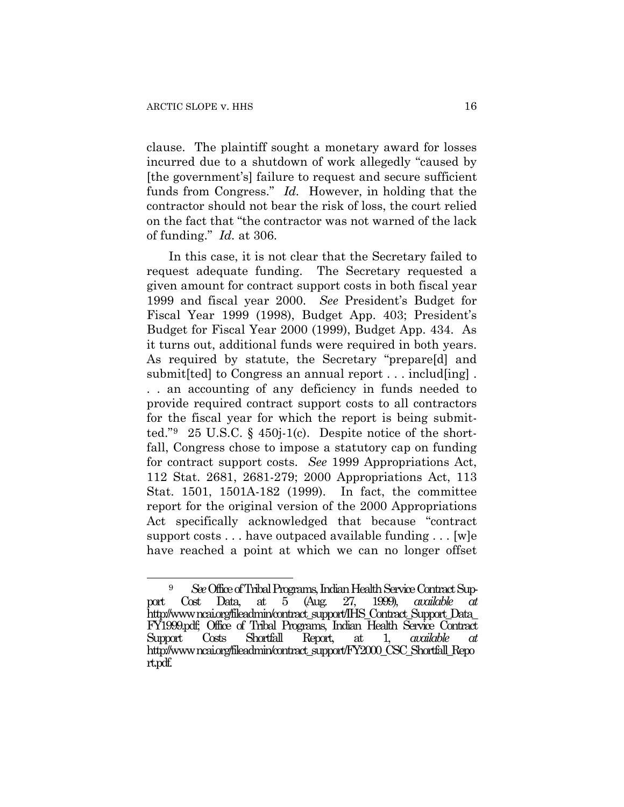clause. The plaintiff sought a monetary award for losses incurred due to a shutdown of work allegedly "caused by [the government's] failure to request and secure sufficient funds from Congress." *Id.* However, in holding that the contractor should not bear the risk of loss, the court relied on the fact that "the contractor was not warned of the lack of funding." *Id.* at 306.

In this case, it is not clear that the Secretary failed to request adequate funding. The Secretary requested a given amount for contract support costs in both fiscal year 1999 and fiscal year 2000. *See* President's Budget for Fiscal Year 1999 (1998), Budget App. 403; President's Budget for Fiscal Year 2000 (1999), Budget App. 434. As it turns out, additional funds were required in both years. As required by statute, the Secretary "prepare[d] and submit [ted] to Congress an annual report . . . includ [ing]. . . an accounting of any deficiency in funds needed to provide required contract support costs to all contractors for the fiscal year for which the report is being submitted." $9\quad 25 \text{ U.S.C. }$  $9\quad 25 \text{ U.S.C. }$  § 450j-1(c). Despite notice of the shortfall, Congress chose to impose a statutory cap on funding for contract support costs. *See* 1999 Appropriations Act, 112 Stat. 2681, 2681-279; 2000 Appropriations Act, 113 Stat. 1501, 1501A-182 (1999). In fact, the committee report for the original version of the 2000 Appropriations Act specifically acknowledged that because "contract support costs . . . have outpaced available funding . . . [w]e have reached a point at which we can no longer offset

<span id="page-15-0"></span><sup>9</sup> *See* Office of Tribal Programs, Indian Health Service Contract Support Cost Data, at 5 (Aug. 27, 1999), *available at* http://www.ncai.org/fileadmin/contract\_support/IHS\_Contract\_Support\_Data\_ FY1999.pdf; Office of Tribal Programs, Indian Health Service Contract Support Costs Shortfall Report, at 1, *available* http://www.ncai.org/fileadmin/contract\_support/FY2000\_CSC\_Shortfall\_Repo rt.pdf.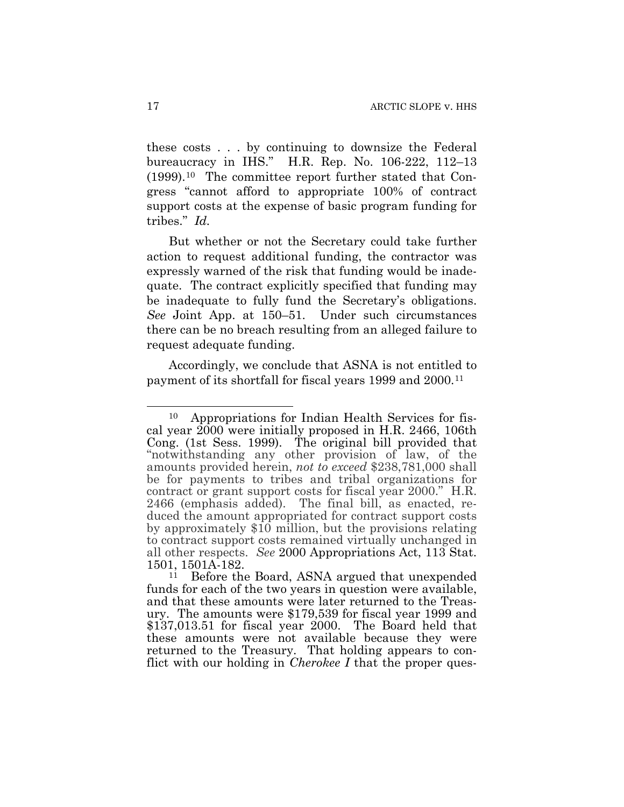these costs . . . by continuing to downsize the Federal bureaucracy in IHS." H.R. Rep. No. 106-222, 112–13 (1999).[10](#page-16-0) The committee report further stated that Congress "cannot afford to appropriate 100% of contract support costs at the expense of basic program funding for tribes." *Id.*

But whether or not the Secretary could take further action to request additional funding, the contractor was expressly warned of the risk that funding would be inadequate. The contract explicitly specified that funding may be inadequate to fully fund the Secretary's obligations. *See* Joint App. at 150–51. Under such circumstances there can be no breach resulting from an alleged failure to request adequate funding.

Accordingly, we conclude that ASNA is not entitled to payment of its shortfall for fiscal years 1999 and 2000.[11](#page-16-1)

<span id="page-16-0"></span> $\overline{a}$ 10 Appropriations for Indian Health Services for fiscal year 2000 were initially proposed in H.R. 2466, 106th Cong. (1st Sess. 1999). The original bill provided that "notwithstanding any other provision of law, of the amounts provided herein, *not to exceed* \$238,781,000 shall be for payments to tribes and tribal organizations for contract or grant support costs for fiscal year 2000." H.R. 2466 (emphasis added). The final bill, as enacted, reduced the amount appropriated for contract support costs by approximately \$10 million, but the provisions relating to contract support costs remained virtually unchanged in all other respects. *See* 2000 Appropriations Act, 113 Stat.  $1501, 1501A-182.$ <br> $11$  Before the

<span id="page-16-1"></span>Before the Board, ASNA argued that unexpended funds for each of the two years in question were available, and that these amounts were later returned to the Treasury. The amounts were \$179,539 for fiscal year 1999 and \$137,013.51 for fiscal year 2000. The Board held that these amounts were not available because they were returned to the Treasury. That holding appears to conflict with our holding in *Cherokee I* that the proper ques-